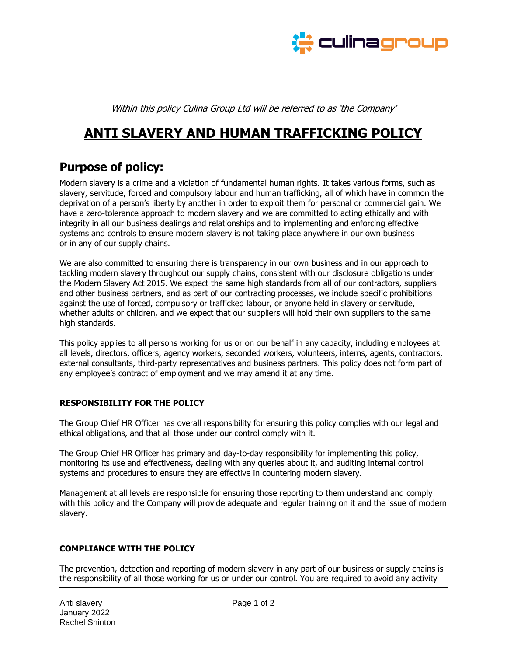

Within this policy Culina Group Ltd will be referred to as 'the Company'

# **ANTI SLAVERY AND HUMAN TRAFFICKING POLICY**

# **Purpose of policy:**

Modern slavery is a crime and a violation of fundamental human rights. It takes various forms, such as slavery, servitude, forced and compulsory labour and human trafficking, all of which have in common the deprivation of a person's liberty by another in order to exploit them for personal or commercial gain. We have a zero-tolerance approach to modern slavery and we are committed to acting ethically and with integrity in all our business dealings and relationships and to implementing and enforcing effective systems and controls to ensure modern slavery is not taking place anywhere in our own business or in any of our supply chains.

We are also committed to ensuring there is transparency in our own business and in our approach to tackling modern slavery throughout our supply chains, consistent with our disclosure obligations under the Modern Slavery Act 2015. We expect the same high standards from all of our contractors, suppliers and other business partners, and as part of our contracting processes, we include specific prohibitions against the use of forced, compulsory or trafficked labour, or anyone held in slavery or servitude, whether adults or children, and we expect that our suppliers will hold their own suppliers to the same high standards.

This policy applies to all persons working for us or on our behalf in any capacity, including employees at all levels, directors, officers, agency workers, seconded workers, volunteers, interns, agents, contractors, external consultants, third-party representatives and business partners. This policy does not form part of any employee's contract of employment and we may amend it at any time.

# **RESPONSIBILITY FOR THE POLICY**

The Group Chief HR Officer has overall responsibility for ensuring this policy complies with our legal and ethical obligations, and that all those under our control comply with it.

The Group Chief HR Officer has primary and day-to-day responsibility for implementing this policy, monitoring its use and effectiveness, dealing with any queries about it, and auditing internal control systems and procedures to ensure they are effective in countering modern slavery.

Management at all levels are responsible for ensuring those reporting to them understand and comply with this policy and the Company will provide adequate and regular training on it and the issue of modern slavery.

#### **COMPLIANCE WITH THE POLICY**

The prevention, detection and reporting of modern slavery in any part of our business or supply chains is the responsibility of all those working for us or under our control. You are required to avoid any activity